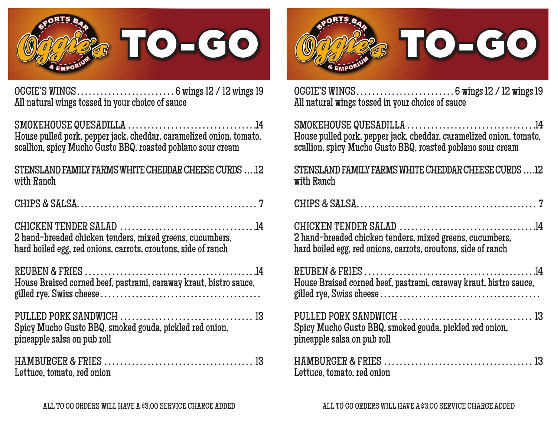

OGGIE'S WINGS. . . 6 wings 12 / 12 wings 19 All natural wings tossed in your choice of sauce

SMOKEHOUSE QUESADILLA. . 14 House pulled pork, pepper jack, cheddar, caramelized onion, tomato, scallion, spicy Mucho Gusto BBQ, roasted poblano sour cream

## STENSLAND FAMILY FARMS WHITE CHEDDAR CHEESE CURDS. . 12 with Ranch

| 2 hand-breaded chicken tenders, mixed greens, cucumbers,<br>hard boiled egg, red onions, carrots, croutons, side of ranch |
|---------------------------------------------------------------------------------------------------------------------------|
| House Braised corned beef, pastrami, caraway kraut, bistro sauce,                                                         |
| Spicy Mucho Gusto BBQ, smoked gouda, pickled red onion,<br>pineapple salsa on pub roll                                    |

HAMBURGER & FRIES. . . 13 Lettuce, tomato, red onion



OGGIE'S WINGS. . . 6 wings 12 / 12 wings 19 All natural wings tossed in your choice of sauce

SMOKEHOUSE QUESADILLA ................................. House pulled pork, pepper jack, cheddar, caramelized onion, tomato, scallion, spicy Mucho Gusto BBQ, roasted poblano sour cream

STENSLAND FAMILY FARMS WHITE CHEDDAR CHEESE CURDS ... .12 with Ranch

CHICKEN TENDER SALAD. . 14 2 hand-breaded chicken tenders, mixed greens, cucumbers, hard boiled egg, red onions, carrots, croutons, side of ranch

| House Braised corned beef, pastrami, caraway kraut, bistro sauce, |  |
|-------------------------------------------------------------------|--|
|                                                                   |  |

PULLED PORK SANDWICH. . . 13 Spicy Mucho Gusto BBQ, smoked gouda, pickled red onion, pineapple salsa on pub roll

| Lettuce, tomato, red onion |  |
|----------------------------|--|